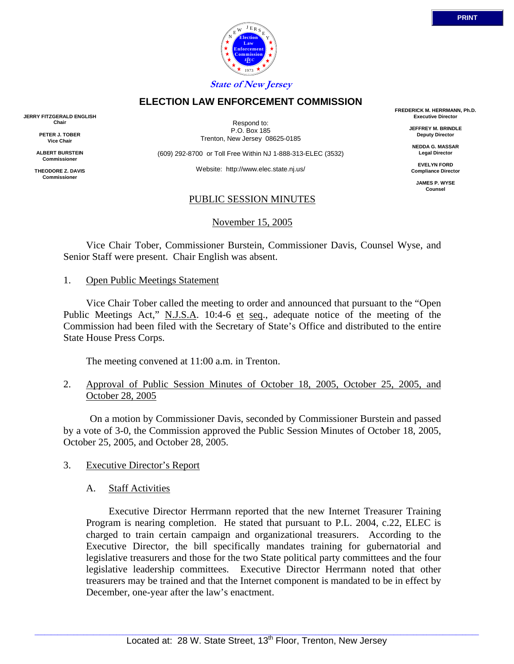# **State of New Jersey**

## **ELECTION LAW ENFORCEMENT COMMISSION**

**JERRY FITZGERALD ENGLISH Chair**

> **PETER J. TOBER Vice Chair**

**ALBERT BURSTEIN Commissioner**

**THEODORE Z. DAVIS Commissione** 

Respond to: P.O. Box 185 Trenton, New Jersey 08625-0185

(609) 292-8700 or Toll Free Within NJ 1-888-313-ELEC (3532)

Website: http://www.elec.state.nj.us/

## PUBLIC SESSION MINUTES

November 15, 2005

 Vice Chair Tober, Commissioner Burstein, Commissioner Davis, Counsel Wyse, and Senior Staff were present. Chair English was absent.

### 1. Open Public Meetings Statement

 Vice Chair Tober called the meeting to order and announced that pursuant to the "Open Public Meetings Act," N.J.S.A. 10:4-6 et seq., adequate notice of the meeting of the Commission had been filed with the Secretary of State's Office and distributed to the entire State House Press Corps.

The meeting convened at 11:00 a.m. in Trenton.

2. Approval of Public Session Minutes of October 18, 2005, October 25, 2005, and October 28, 2005

 On a motion by Commissioner Davis, seconded by Commissioner Burstein and passed by a vote of 3-0, the Commission approved the Public Session Minutes of October 18, 2005, October 25, 2005, and October 28, 2005.

## 3. Executive Director's Report

## A. Staff Activities

 Executive Director Herrmann reported that the new Internet Treasurer Training Program is nearing completion. He stated that pursuant to P.L. 2004, c.22, ELEC is charged to train certain campaign and organizational treasurers. According to the Executive Director, the bill specifically mandates training for gubernatorial and legislative treasurers and those for the two State political party committees and the four legislative leadership committees. Executive Director Herrmann noted that other treasurers may be trained and that the Internet component is mandated to be in effect by December, one-year after the law's enactment.

**FREDERICK M. HERRMANN, Ph.D. Executive Director**

> **JEFFREY M. BRINDLE Deputy Director**

**NEDDA G. MASSAR Legal Director**

**EVELYN FORD Compliance Director**

> **JAMES P. WYSE Counsel**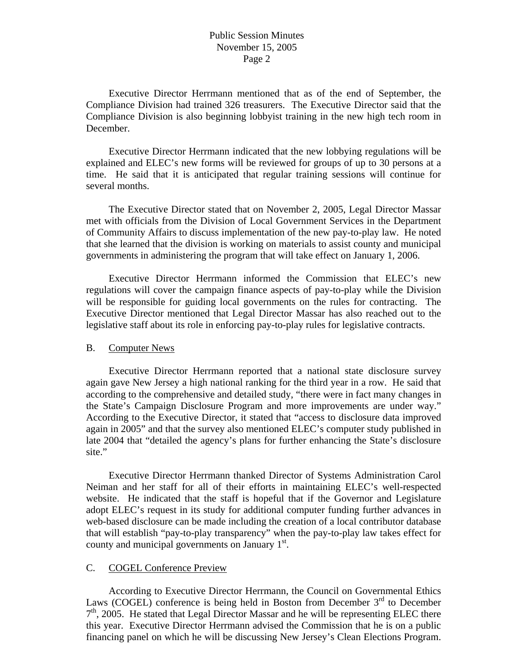Executive Director Herrmann mentioned that as of the end of September, the Compliance Division had trained 326 treasurers. The Executive Director said that the Compliance Division is also beginning lobbyist training in the new high tech room in December.

 Executive Director Herrmann indicated that the new lobbying regulations will be explained and ELEC's new forms will be reviewed for groups of up to 30 persons at a time. He said that it is anticipated that regular training sessions will continue for several months.

 The Executive Director stated that on November 2, 2005, Legal Director Massar met with officials from the Division of Local Government Services in the Department of Community Affairs to discuss implementation of the new pay-to-play law. He noted that she learned that the division is working on materials to assist county and municipal governments in administering the program that will take effect on January 1, 2006.

 Executive Director Herrmann informed the Commission that ELEC's new regulations will cover the campaign finance aspects of pay-to-play while the Division will be responsible for guiding local governments on the rules for contracting. The Executive Director mentioned that Legal Director Massar has also reached out to the legislative staff about its role in enforcing pay-to-play rules for legislative contracts.

#### B. Computer News

 Executive Director Herrmann reported that a national state disclosure survey again gave New Jersey a high national ranking for the third year in a row. He said that according to the comprehensive and detailed study, "there were in fact many changes in the State's Campaign Disclosure Program and more improvements are under way." According to the Executive Director, it stated that "access to disclosure data improved again in 2005" and that the survey also mentioned ELEC's computer study published in late 2004 that "detailed the agency's plans for further enhancing the State's disclosure site."

 Executive Director Herrmann thanked Director of Systems Administration Carol Neiman and her staff for all of their efforts in maintaining ELEC's well-respected website. He indicated that the staff is hopeful that if the Governor and Legislature adopt ELEC's request in its study for additional computer funding further advances in web-based disclosure can be made including the creation of a local contributor database that will establish "pay-to-play transparency" when the pay-to-play law takes effect for county and municipal governments on January  $1<sup>st</sup>$ .

## C. COGEL Conference Preview

 According to Executive Director Herrmann, the Council on Governmental Ethics Laws (COGEL) conference is being held in Boston from December  $3<sup>rd</sup>$  to December  $7<sup>th</sup>$ , 2005. He stated that Legal Director Massar and he will be representing ELEC there this year. Executive Director Herrmann advised the Commission that he is on a public financing panel on which he will be discussing New Jersey's Clean Elections Program.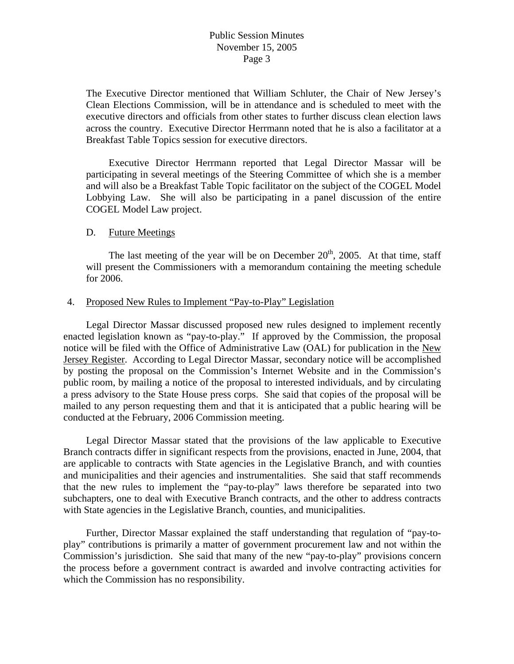The Executive Director mentioned that William Schluter, the Chair of New Jersey's Clean Elections Commission, will be in attendance and is scheduled to meet with the executive directors and officials from other states to further discuss clean election laws across the country. Executive Director Herrmann noted that he is also a facilitator at a Breakfast Table Topics session for executive directors.

 Executive Director Herrmann reported that Legal Director Massar will be participating in several meetings of the Steering Committee of which she is a member and will also be a Breakfast Table Topic facilitator on the subject of the COGEL Model Lobbying Law. She will also be participating in a panel discussion of the entire COGEL Model Law project.

### D. Future Meetings

The last meeting of the year will be on December  $20<sup>th</sup>$ , 2005. At that time, staff will present the Commissioners with a memorandum containing the meeting schedule for 2006.

### 4. Proposed New Rules to Implement "Pay-to-Play" Legislation

 Legal Director Massar discussed proposed new rules designed to implement recently enacted legislation known as "pay-to-play." If approved by the Commission, the proposal notice will be filed with the Office of Administrative Law (OAL) for publication in the New Jersey Register. According to Legal Director Massar, secondary notice will be accomplished by posting the proposal on the Commission's Internet Website and in the Commission's public room, by mailing a notice of the proposal to interested individuals, and by circulating a press advisory to the State House press corps. She said that copies of the proposal will be mailed to any person requesting them and that it is anticipated that a public hearing will be conducted at the February, 2006 Commission meeting.

 Legal Director Massar stated that the provisions of the law applicable to Executive Branch contracts differ in significant respects from the provisions, enacted in June, 2004, that are applicable to contracts with State agencies in the Legislative Branch, and with counties and municipalities and their agencies and instrumentalities. She said that staff recommends that the new rules to implement the "pay-to-play" laws therefore be separated into two subchapters, one to deal with Executive Branch contracts, and the other to address contracts with State agencies in the Legislative Branch, counties, and municipalities.

 Further, Director Massar explained the staff understanding that regulation of "pay-toplay" contributions is primarily a matter of government procurement law and not within the Commission's jurisdiction. She said that many of the new "pay-to-play" provisions concern the process before a government contract is awarded and involve contracting activities for which the Commission has no responsibility.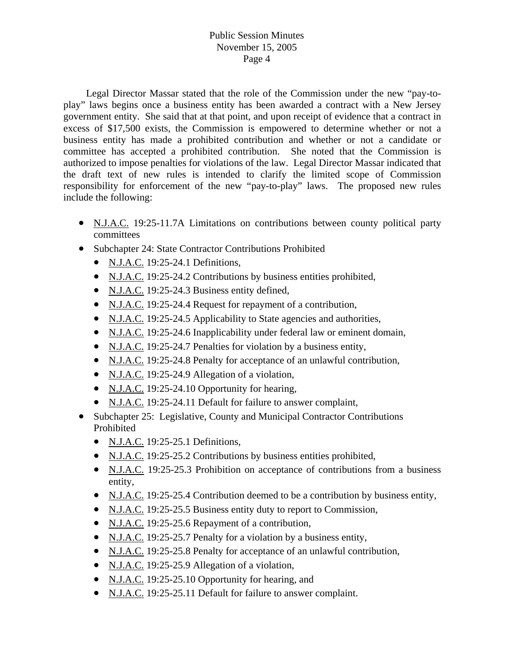Legal Director Massar stated that the role of the Commission under the new "pay-toplay" laws begins once a business entity has been awarded a contract with a New Jersey government entity. She said that at that point, and upon receipt of evidence that a contract in excess of \$17,500 exists, the Commission is empowered to determine whether or not a business entity has made a prohibited contribution and whether or not a candidate or committee has accepted a prohibited contribution. She noted that the Commission is authorized to impose penalties for violations of the law. Legal Director Massar indicated that the draft text of new rules is intended to clarify the limited scope of Commission responsibility for enforcement of the new "pay-to-play" laws. The proposed new rules include the following:

- N.J.A.C. 19:25-11.7A Limitations on contributions between county political party committees
- Subchapter 24: State Contractor Contributions Prohibited
	- N.J.A.C. 19:25-24.1 Definitions,
	- N.J.A.C. 19:25-24.2 Contributions by business entities prohibited,
	- N.J.A.C. 19:25-24.3 Business entity defined,
	- N.J.A.C. 19:25-24.4 Request for repayment of a contribution,
	- N.J.A.C. 19:25-24.5 Applicability to State agencies and authorities,
	- N.J.A.C. 19:25-24.6 Inapplicability under federal law or eminent domain,
	- N.J.A.C. 19:25-24.7 Penalties for violation by a business entity,
	- N.J.A.C. 19:25-24.8 Penalty for acceptance of an unlawful contribution,
	- N.J.A.C. 19:25-24.9 Allegation of a violation,
	- N.J.A.C. 19:25-24.10 Opportunity for hearing,
	- N.J.A.C. 19:25-24.11 Default for failure to answer complaint,
- Subchapter 25: Legislative, County and Municipal Contractor Contributions Prohibited
	- N.J.A.C. 19:25-25.1 Definitions,
	- N.J.A.C. 19:25-25.2 Contributions by business entities prohibited,
	- N.J.A.C. 19:25-25.3 Prohibition on acceptance of contributions from a business entity,
	- N.J.A.C. 19:25-25.4 Contribution deemed to be a contribution by business entity,
	- N.J.A.C. 19:25-25.5 Business entity duty to report to Commission,
	- N.J.A.C. 19:25-25.6 Repayment of a contribution,
	- N.J.A.C. 19:25-25.7 Penalty for a violation by a business entity,
	- N.J.A.C. 19:25-25.8 Penalty for acceptance of an unlawful contribution,
	- N.J.A.C. 19:25-25.9 Allegation of a violation,
	- N.J.A.C. 19:25-25.10 Opportunity for hearing, and
	- N.J.A.C. 19:25-25.11 Default for failure to answer complaint.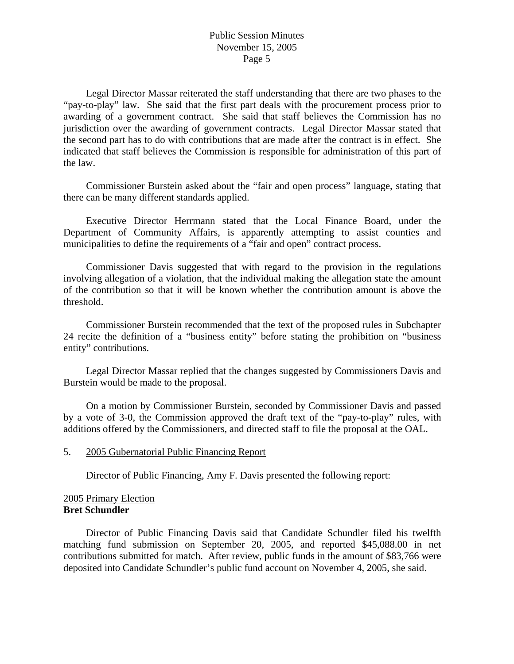Legal Director Massar reiterated the staff understanding that there are two phases to the "pay-to-play" law. She said that the first part deals with the procurement process prior to awarding of a government contract. She said that staff believes the Commission has no jurisdiction over the awarding of government contracts. Legal Director Massar stated that the second part has to do with contributions that are made after the contract is in effect. She indicated that staff believes the Commission is responsible for administration of this part of the law.

 Commissioner Burstein asked about the "fair and open process" language, stating that there can be many different standards applied.

 Executive Director Herrmann stated that the Local Finance Board, under the Department of Community Affairs, is apparently attempting to assist counties and municipalities to define the requirements of a "fair and open" contract process.

 Commissioner Davis suggested that with regard to the provision in the regulations involving allegation of a violation, that the individual making the allegation state the amount of the contribution so that it will be known whether the contribution amount is above the threshold.

 Commissioner Burstein recommended that the text of the proposed rules in Subchapter 24 recite the definition of a "business entity" before stating the prohibition on "business entity" contributions.

 Legal Director Massar replied that the changes suggested by Commissioners Davis and Burstein would be made to the proposal.

 On a motion by Commissioner Burstein, seconded by Commissioner Davis and passed by a vote of 3-0, the Commission approved the draft text of the "pay-to-play" rules, with additions offered by the Commissioners, and directed staff to file the proposal at the OAL.

### 5. 2005 Gubernatorial Public Financing Report

Director of Public Financing, Amy F. Davis presented the following report:

## 2005 Primary Election **Bret Schundler**

 Director of Public Financing Davis said that Candidate Schundler filed his twelfth matching fund submission on September 20, 2005, and reported \$45,088.00 in net contributions submitted for match. After review, public funds in the amount of \$83,766 were deposited into Candidate Schundler's public fund account on November 4, 2005, she said.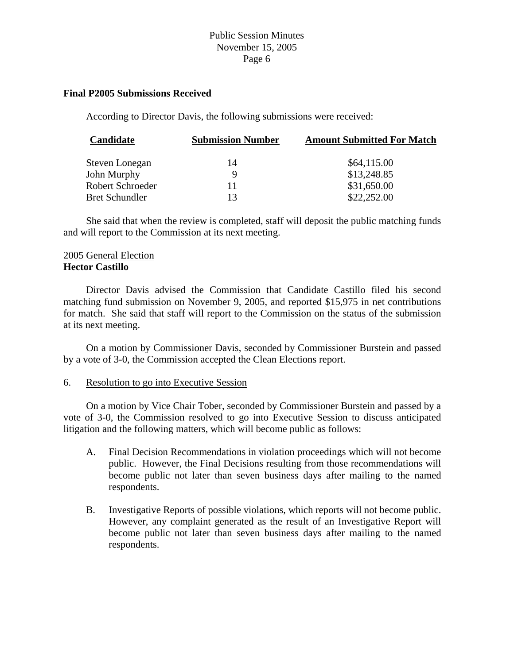### **Final P2005 Submissions Received**

According to Director Davis, the following submissions were received:

| Candidate             | <b>Submission Number</b> | <b>Amount Submitted For Match</b> |
|-----------------------|--------------------------|-----------------------------------|
| Steven Lonegan        | 14                       | \$64,115.00                       |
| John Murphy           | Q                        | \$13,248.85                       |
| Robert Schroeder      | 11                       | \$31,650.00                       |
| <b>Bret Schundler</b> | 13                       | \$22,252.00                       |

 She said that when the review is completed, staff will deposit the public matching funds and will report to the Commission at its next meeting.

### 2005 General Election **Hector Castillo**

 Director Davis advised the Commission that Candidate Castillo filed his second matching fund submission on November 9, 2005, and reported \$15,975 in net contributions for match. She said that staff will report to the Commission on the status of the submission at its next meeting.

 On a motion by Commissioner Davis, seconded by Commissioner Burstein and passed by a vote of 3-0, the Commission accepted the Clean Elections report.

#### 6. Resolution to go into Executive Session

 On a motion by Vice Chair Tober, seconded by Commissioner Burstein and passed by a vote of 3-0, the Commission resolved to go into Executive Session to discuss anticipated litigation and the following matters, which will become public as follows:

- A. Final Decision Recommendations in violation proceedings which will not become public. However, the Final Decisions resulting from those recommendations will become public not later than seven business days after mailing to the named respondents.
- B. Investigative Reports of possible violations, which reports will not become public. However, any complaint generated as the result of an Investigative Report will become public not later than seven business days after mailing to the named respondents.